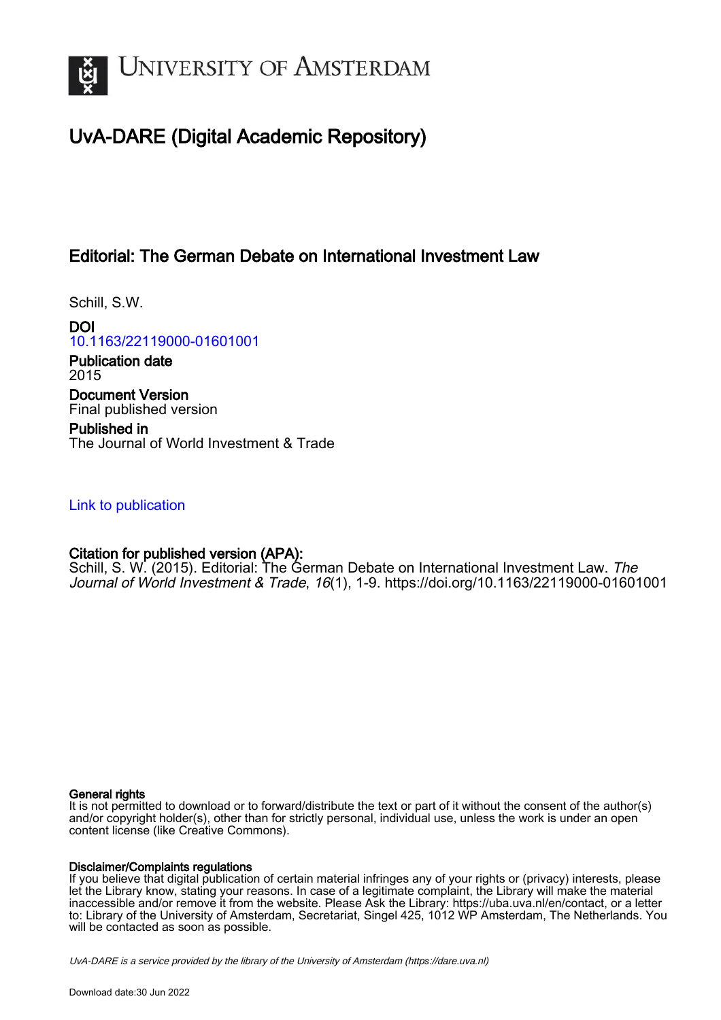

# UvA-DARE (Digital Academic Repository)

## Editorial: The German Debate on International Investment Law

Schill, S.W.

DOI [10.1163/22119000-01601001](https://doi.org/10.1163/22119000-01601001)

Publication date 2015 Document Version Final published version

Published in The Journal of World Investment & Trade

### [Link to publication](https://dare.uva.nl/personal/pure/en/publications/editorial-the-german-debate-on-international-investment-law(da24c8f6-f8d0-4dff-8a2f-1e446f5e3800).html)

## Citation for published version (APA):

Schill, S. W. (2015). Editorial: The German Debate on International Investment Law. The Journal of World Investment & Trade, 16(1), 1-9. <https://doi.org/10.1163/22119000-01601001>

### General rights

It is not permitted to download or to forward/distribute the text or part of it without the consent of the author(s) and/or copyright holder(s), other than for strictly personal, individual use, unless the work is under an open content license (like Creative Commons).

### Disclaimer/Complaints regulations

If you believe that digital publication of certain material infringes any of your rights or (privacy) interests, please let the Library know, stating your reasons. In case of a legitimate complaint, the Library will make the material inaccessible and/or remove it from the website. Please Ask the Library: https://uba.uva.nl/en/contact, or a letter to: Library of the University of Amsterdam, Secretariat, Singel 425, 1012 WP Amsterdam, The Netherlands. You will be contacted as soon as possible.

UvA-DARE is a service provided by the library of the University of Amsterdam (http*s*://dare.uva.nl)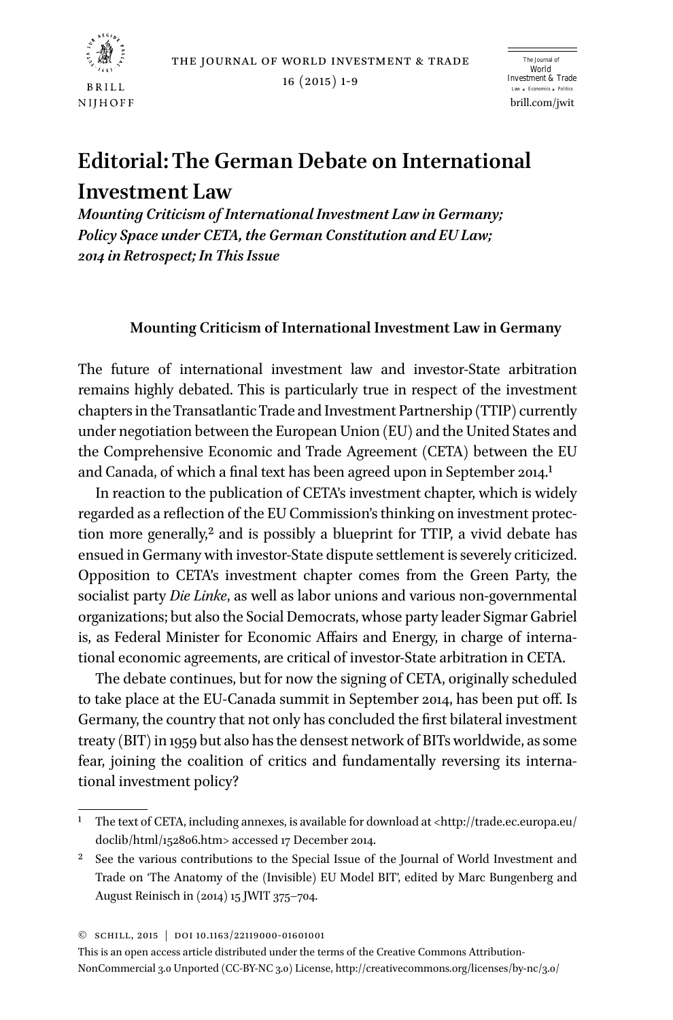the journal of world investment & trade



16 (2015) 1-9

brill.com/jwit The Journal of World Investment & Trade Law \* Economics \* Politics

# **Editorial: The German Debate on International**

**Investment Law**

*Mounting Criticism of International Investment Law in Germany; Policy Space under CETA, the German Constitution and EU Law; 2014 in Retrospect; In This Issue*

### **Mounting Criticism of International Investment Law in Germany**

The future of international investment law and investor-State arbitration remains highly debated. This is particularly true in respect of the investment chapters in the Transatlantic Trade and Investment Partnership (TTIP) currently under negotiation between the European Union (EU) and the United States and the Comprehensive Economic and Trade Agreement (CETA) between the EU and Canada, of which a final text has been agreed upon in September 2014.1

In reaction to the publication of CETA's investment chapter, which is widely regarded as a reflection of the EU Commission's thinking on investment protection more generally,<sup>2</sup> and is possibly a blueprint for TTIP, a vivid debate has ensued in Germany with investor-State dispute settlement is severely criticized. Opposition to CETA's investment chapter comes from the Green Party, the socialist party *Die Linke*, as well as labor unions and various non-governmental organizations; but also the Social Democrats, whose party leader Sigmar Gabriel is, as Federal Minister for Economic Affairs and Energy, in charge of international economic agreements, are critical of investor-State arbitration in CETA.

The debate continues, but for now the signing of CETA, originally scheduled to take place at the EU-Canada summit in September 2014, has been put off. Is Germany, the country that not only has concluded the first bilateral investment treaty (BIT) in 1959 but also has the densest network of BITs worldwide, as some fear, joining the coalition of critics and fundamentally reversing its international investment policy?

<sup>1</sup> The text of CETA, including annexes, is available for download at [<http://trade.ec.europa.eu/](http://trade.ec.europa.eu/doclib/html/152806.htm) [doclib/html/152806.htm](http://trade.ec.europa.eu/doclib/html/152806.htm)> accessed 17 December 2014.

<sup>2</sup> See the various contributions to the Special Issue of the Journal of World Investment and Trade on 'The Anatomy of the (Invisible) EU Model BIT', edited by Marc Bungenberg and August Reinisch in (2014) 15 JWIT 375–704.

<sup>©</sup> Schill, 2015 | doi 10.1163/22119000-01601001

This is an open access article distributed under the terms of the Creative Commons Attribution-NonCommercial 3.0 Unported (CC-BY-NC 3.0) License,<http://creativecommons.org/licenses/by-nc/3.0/>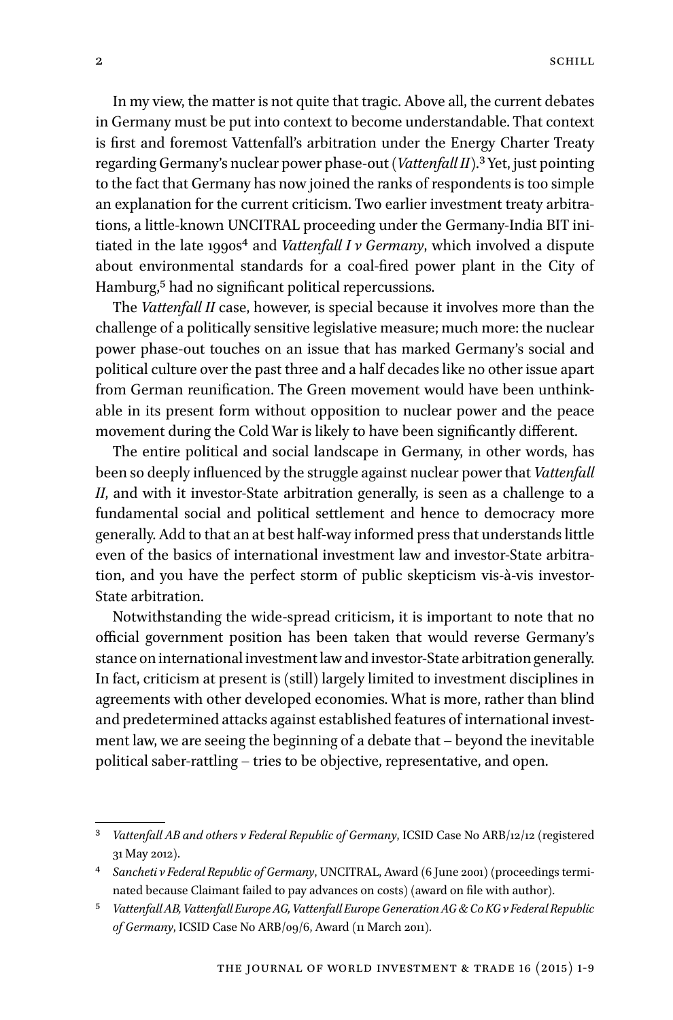In my view, the matter is not quite that tragic. Above all, the current debates in Germany must be put into context to become understandable. That context is first and foremost Vattenfall's arbitration under the Energy Charter Treaty regarding Germany's nuclear power phase-out (*Vattenfall II)*.3 Yet, just pointing to the fact that Germany has now joined the ranks of respondents is too simple an explanation for the current criticism. Two earlier investment treaty arbitrations, a little-known UNCITRAL proceeding under the Germany-India BIT initiated in the late 1990s<sup>4</sup> and *Vattenfall I v Germany*, which involved a dispute about environmental standards for a coal-fired power plant in the City of Hamburg,5 had no significant political repercussions.

The *Vattenfall II* case, however, is special because it involves more than the challenge of a politically sensitive legislative measure; much more: the nuclear power phase-out touches on an issue that has marked Germany's social and political culture over the past three and a half decades like no other issue apart from German reunification. The Green movement would have been unthinkable in its present form without opposition to nuclear power and the peace movement during the Cold War is likely to have been significantly different.

The entire political and social landscape in Germany, in other words, has been so deeply influenced by the struggle against nuclear power that *Vattenfall II*, and with it investor-State arbitration generally, is seen as a challenge to a fundamental social and political settlement and hence to democracy more generally. Add to that an at best half-way informed press that understands little even of the basics of international investment law and investor-State arbitration, and you have the perfect storm of public skepticism vis-à-vis investor-State arbitration.

Notwithstanding the wide-spread criticism, it is important to note that no official government position has been taken that would reverse Germany's stance on international investment law and investor-State arbitration generally. In fact, criticism at present is (still) largely limited to investment disciplines in agreements with other developed economies. What is more, rather than blind and predetermined attacks against established features of international investment law, we are seeing the beginning of a debate that – beyond the inevitable political saber-rattling – tries to be objective, representative, and open.

<sup>3</sup> *Vattenfall AB and others v Federal Republic of Germany*, ICSID Case No ARB/12/12 (registered 31 May 2012).

<sup>4</sup> *Sancheti v Federal Republic of Germany*, UNCITRAL, Award (6 June 2001) (proceedings terminated because Claimant failed to pay advances on costs) (award on file with author).

<sup>5</sup> *Vattenfall AB, Vattenfall Europe AG, Vattenfall Europe Generation AG & Co KG v Federal Republic of Germany*, ICSID Case No ARB/09/6, Award (11 March 2011).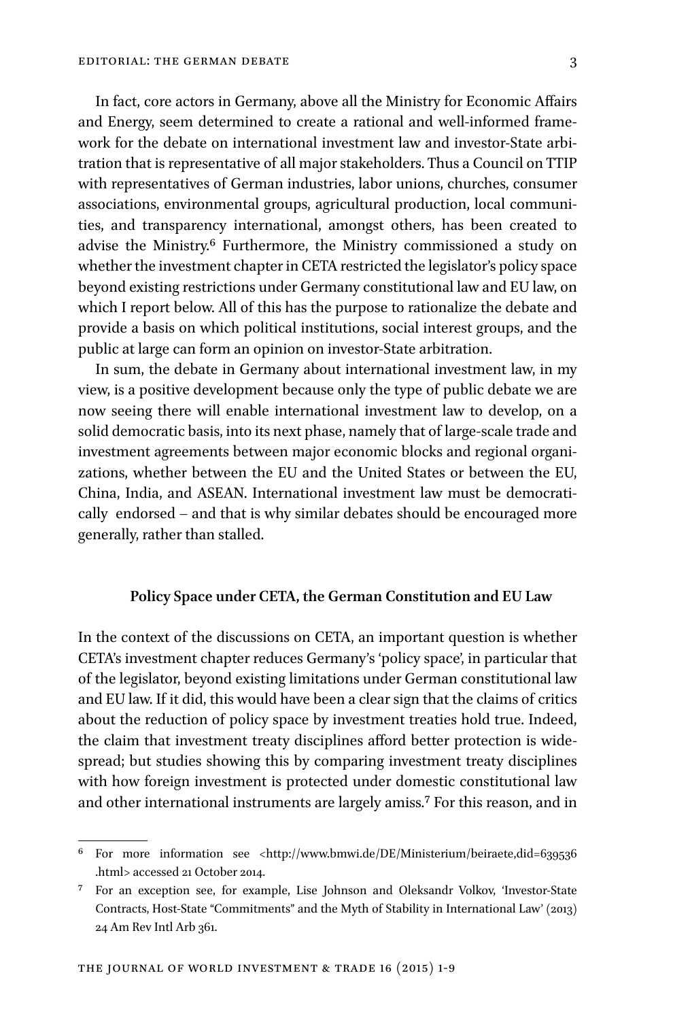In fact, core actors in Germany, above all the Ministry for Economic Affairs and Energy, seem determined to create a rational and well-informed framework for the debate on international investment law and investor-State arbitration that is representative of all major stakeholders. Thus a Council on TTIP with representatives of German industries, labor unions, churches, consumer associations, environmental groups, agricultural production, local communities, and transparency international, amongst others, has been created to advise the Ministry.6 Furthermore, the Ministry commissioned a study on whether the investment chapter in CETA restricted the legislator's policy space beyond existing restrictions under Germany constitutional law and EU law, on which I report below. All of this has the purpose to rationalize the debate and provide a basis on which political institutions, social interest groups, and the public at large can form an opinion on investor-State arbitration.

In sum, the debate in Germany about international investment law, in my view, is a positive development because only the type of public debate we are now seeing there will enable international investment law to develop, on a solid democratic basis, into its next phase, namely that of large-scale trade and investment agreements between major economic blocks and regional organizations, whether between the EU and the United States or between the EU, China, India, and ASEAN. International investment law must be democratically endorsed – and that is why similar debates should be encouraged more generally, rather than stalled.

### **Policy Space under CETA, the German Constitution and EU Law**

In the context of the discussions on CETA, an important question is whether CETA's investment chapter reduces Germany's 'policy space', in particular that of the legislator, beyond existing limitations under German constitutional law and EU law. If it did, this would have been a clear sign that the claims of critics about the reduction of policy space by investment treaties hold true. Indeed, the claim that investment treaty disciplines afford better protection is widespread; but studies showing this by comparing investment treaty disciplines with how foreign investment is protected under domestic constitutional law and other international instruments are largely amiss.7 For this reason, and in

<sup>6</sup> For more information see [<http://www.bmwi.de/DE/Ministerium/beiraete,did=639536](http://www.bmwi.de/DE/Ministerium/beiraete,did=639536.html) [.html](http://www.bmwi.de/DE/Ministerium/beiraete,did=639536.html)> accessed 21 October 2014.

<sup>7</sup> For an exception see, for example, Lise Johnson and Oleksandr Volkov, 'Investor-State Contracts, Host-State "Commitments" and the Myth of Stability in International Law' (2013) 24 Am Rev Intl Arb 361.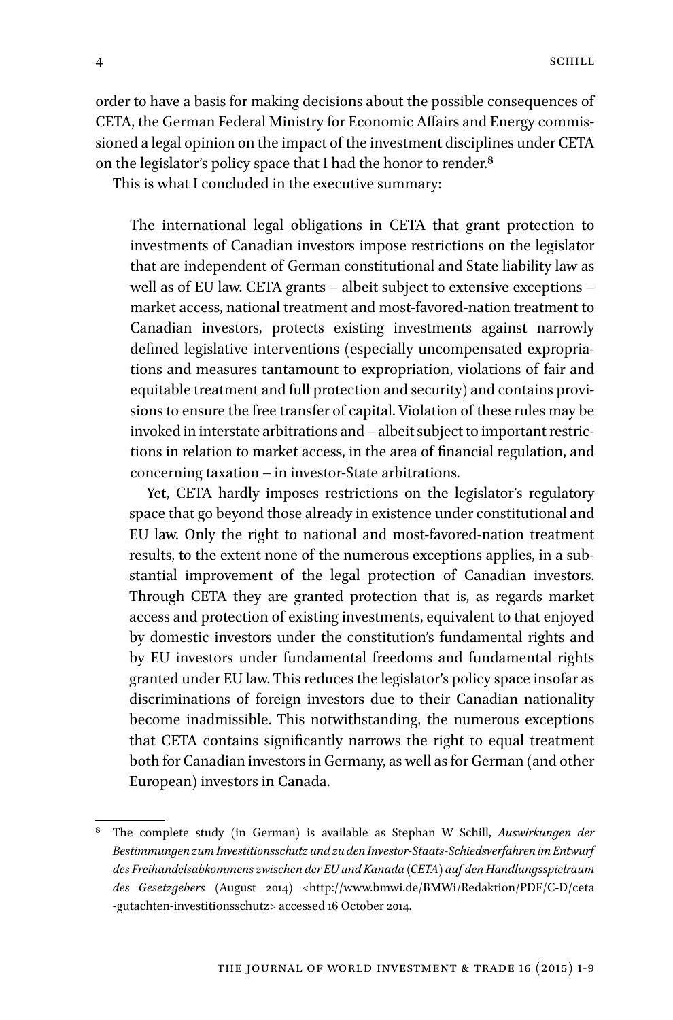order to have a basis for making decisions about the possible consequences of CETA, the German Federal Ministry for Economic Affairs and Energy commissioned a legal opinion on the impact of the investment disciplines under CETA on the legislator's policy space that I had the honor to render.<sup>8</sup>

This is what I concluded in the executive summary:

The international legal obligations in CETA that grant protection to investments of Canadian investors impose restrictions on the legislator that are independent of German constitutional and State liability law as well as of EU law. CETA grants – albeit subject to extensive exceptions – market access, national treatment and most-favored-nation treatment to Canadian investors, protects existing investments against narrowly defined legislative interventions (especially uncompensated expropriations and measures tantamount to expropriation, violations of fair and equitable treatment and full protection and security) and contains provisions to ensure the free transfer of capital. Violation of these rules may be invoked in interstate arbitrations and – albeit subject to important restrictions in relation to market access, in the area of financial regulation, and concerning taxation – in investor-State arbitrations.

Yet, CETA hardly imposes restrictions on the legislator's regulatory space that go beyond those already in existence under constitutional and EU law. Only the right to national and most-favored-nation treatment results, to the extent none of the numerous exceptions applies, in a substantial improvement of the legal protection of Canadian investors. Through CETA they are granted protection that is, as regards market access and protection of existing investments, equivalent to that enjoyed by domestic investors under the constitution's fundamental rights and by EU investors under fundamental freedoms and fundamental rights granted under EU law. This reduces the legislator's policy space insofar as discriminations of foreign investors due to their Canadian nationality become inadmissible. This notwithstanding, the numerous exceptions that CETA contains significantly narrows the right to equal treatment both for Canadian investors in Germany, as well as for German (and other European) investors in Canada.

<sup>8</sup> The complete study (in German) is available as Stephan W Schill, *Auswirkungen der Bestimmungen zum Investitionsschutz und zu den Investor-Staats-Schiedsverfahren im Entwurf des Freihandelsabkommens zwischen der EU und Kanada (CETA) auf den Handlungsspielraum des Gesetzgebers* (August 2014) <[http://www.bmwi.de/BMWi/Redaktion/PDF/C-D/ceta](http://www.bmwi.de/BMWi/Redaktion/PDF/C-D/ceta-gutachten-investitionsschutz) [-gutachten-investitionsschutz>](http://www.bmwi.de/BMWi/Redaktion/PDF/C-D/ceta-gutachten-investitionsschutz) accessed 16 October 2014.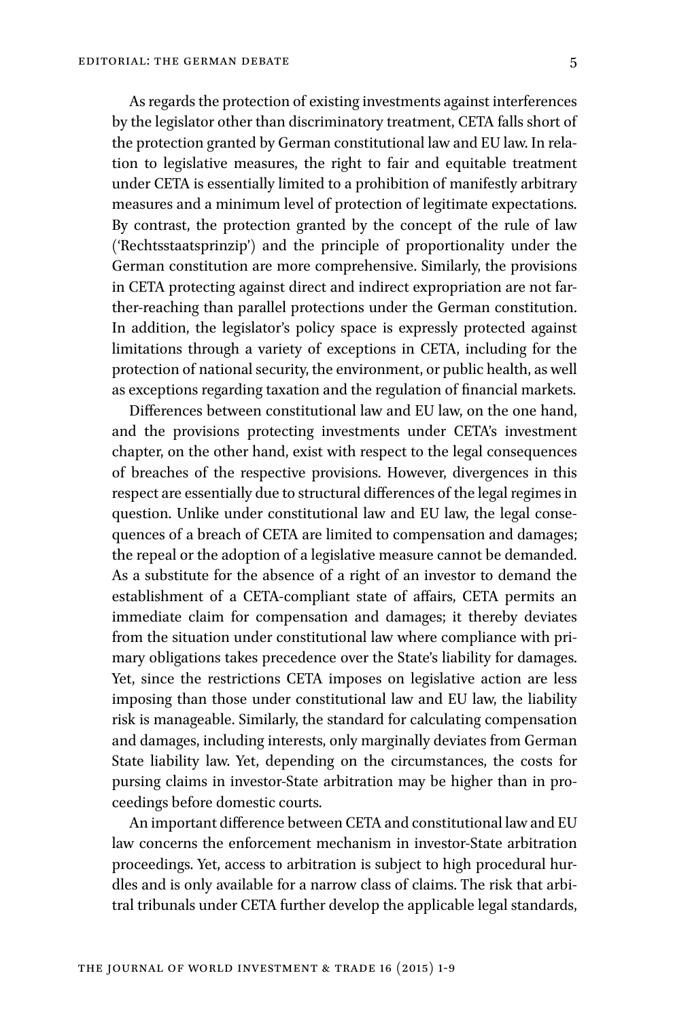As regards the protection of existing investments against interferences by the legislator other than discriminatory treatment, CETA falls short of the protection granted by German constitutional law and EU law. In relation to legislative measures, the right to fair and equitable treatment under CETA is essentially limited to a prohibition of manifestly arbitrary measures and a minimum level of protection of legitimate expectations. By contrast, the protection granted by the concept of the rule of law ('Rechtsstaatsprinzip') and the principle of proportionality under the German constitution are more comprehensive. Similarly, the provisions in CETA protecting against direct and indirect expropriation are not farther-reaching than parallel protections under the German constitution. In addition, the legislator's policy space is expressly protected against limitations through a variety of exceptions in CETA, including for the protection of national security, the environment, or public health, as well as exceptions regarding taxation and the regulation of financial markets.

Differences between constitutional law and EU law, on the one hand, and the provisions protecting investments under CETA's investment chapter, on the other hand, exist with respect to the legal consequences of breaches of the respective provisions. However, divergences in this respect are essentially due to structural differences of the legal regimes in question. Unlike under constitutional law and EU law, the legal consequences of a breach of CETA are limited to compensation and damages; the repeal or the adoption of a legislative measure cannot be demanded. As a substitute for the absence of a right of an investor to demand the establishment of a CETA-compliant state of affairs, CETA permits an immediate claim for compensation and damages; it thereby deviates from the situation under constitutional law where compliance with primary obligations takes precedence over the State's liability for damages. Yet, since the restrictions CETA imposes on legislative action are less imposing than those under constitutional law and EU law, the liability risk is manageable. Similarly, the standard for calculating compensation and damages, including interests, only marginally deviates from German State liability law. Yet, depending on the circumstances, the costs for pursing claims in investor-State arbitration may be higher than in proceedings before domestic courts.

An important difference between CETA and constitutional law and EU law concerns the enforcement mechanism in investor-State arbitration proceedings. Yet, access to arbitration is subject to high procedural hurdles and is only available for a narrow class of claims. The risk that arbitral tribunals under CETA further develop the applicable legal standards,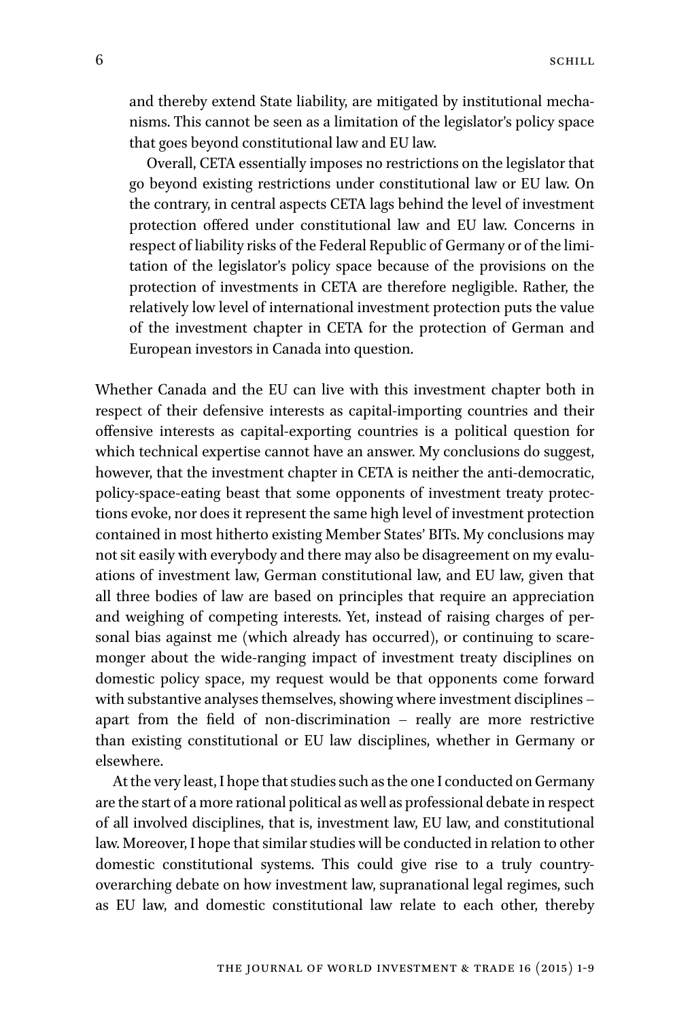and thereby extend State liability, are mitigated by institutional mechanisms. This cannot be seen as a limitation of the legislator's policy space that goes beyond constitutional law and EU law.

Overall, CETA essentially imposes no restrictions on the legislator that go beyond existing restrictions under constitutional law or EU law. On the contrary, in central aspects CETA lags behind the level of investment protection offered under constitutional law and EU law. Concerns in respect of liability risks of the Federal Republic of Germany or of the limitation of the legislator's policy space because of the provisions on the protection of investments in CETA are therefore negligible. Rather, the relatively low level of international investment protection puts the value of the investment chapter in CETA for the protection of German and European investors in Canada into question.

Whether Canada and the EU can live with this investment chapter both in respect of their defensive interests as capital-importing countries and their offensive interests as capital-exporting countries is a political question for which technical expertise cannot have an answer. My conclusions do suggest, however, that the investment chapter in CETA is neither the anti-democratic, policy-space-eating beast that some opponents of investment treaty protections evoke, nor does it represent the same high level of investment protection contained in most hitherto existing Member States' BITs. My conclusions may not sit easily with everybody and there may also be disagreement on my evaluations of investment law, German constitutional law, and EU law, given that all three bodies of law are based on principles that require an appreciation and weighing of competing interests. Yet, instead of raising charges of personal bias against me (which already has occurred), or continuing to scaremonger about the wide-ranging impact of investment treaty disciplines on domestic policy space, my request would be that opponents come forward with substantive analyses themselves, showing where investment disciplines – apart from the field of non-discrimination – really are more restrictive than existing constitutional or EU law disciplines, whether in Germany or elsewhere.

At the very least, I hope that studies such as the one I conducted on Germany are the start of a more rational political as well as professional debate in respect of all involved disciplines, that is, investment law, EU law, and constitutional law. Moreover, I hope that similar studies will be conducted in relation to other domestic constitutional systems. This could give rise to a truly countryoverarching debate on how investment law, supranational legal regimes, such as EU law, and domestic constitutional law relate to each other, thereby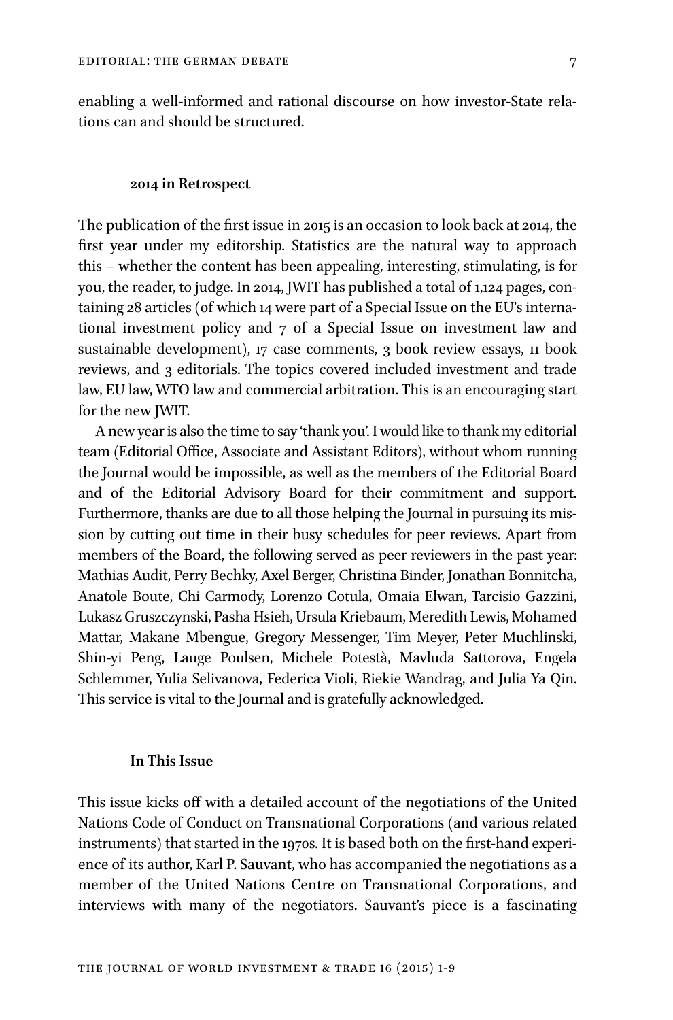enabling a well-informed and rational discourse on how investor-State relations can and should be structured.

#### **2014 in Retrospect**

The publication of the first issue in 2015 is an occasion to look back at 2014, the first year under my editorship. Statistics are the natural way to approach this – whether the content has been appealing, interesting, stimulating, is for you, the reader, to judge. In 2014, JWIT has published a total of 1,124 pages, containing 28 articles (of which 14 were part of a Special Issue on the EU's international investment policy and 7 of a Special Issue on investment law and sustainable development), 17 case comments, 3 book review essays, 11 book reviews, and 3 editorials. The topics covered included investment and trade law, EU law, WTO law and commercial arbitration. This is an encouraging start for the new JWIT.

A new year is also the time to say 'thank you'. I would like to thank my editorial team (Editorial Office, Associate and Assistant Editors), without whom running the Journal would be impossible, as well as the members of the Editorial Board and of the Editorial Advisory Board for their commitment and support. Furthermore, thanks are due to all those helping the Journal in pursuing its mission by cutting out time in their busy schedules for peer reviews. Apart from members of the Board, the following served as peer reviewers in the past year: Mathias Audit, Perry Bechky, Axel Berger, Christina Binder, Jonathan Bonnitcha, Anatole Boute, Chi Carmody, Lorenzo Cotula, Omaia Elwan, Tarcisio Gazzini, Lukasz Gruszczynski, Pasha Hsieh, Ursula Kriebaum, Meredith Lewis, Mohamed Mattar, Makane Mbengue, Gregory Messenger, Tim Meyer, Peter Muchlinski, Shin-yi Peng, Lauge Poulsen, Michele Potestà, Mavluda Sattorova, Engela Schlemmer, Yulia Selivanova, Federica Violi, Riekie Wandrag, and Julia Ya Qin. This service is vital to the Journal and is gratefully acknowledged.

### **In This Issue**

This issue kicks off with a detailed account of the negotiations of the United Nations Code of Conduct on Transnational Corporations (and various related instruments) that started in the 1970s. It is based both on the first-hand experience of its author, Karl P. Sauvant, who has accompanied the negotiations as a member of the United Nations Centre on Transnational Corporations, and interviews with many of the negotiators. Sauvant's piece is a fascinating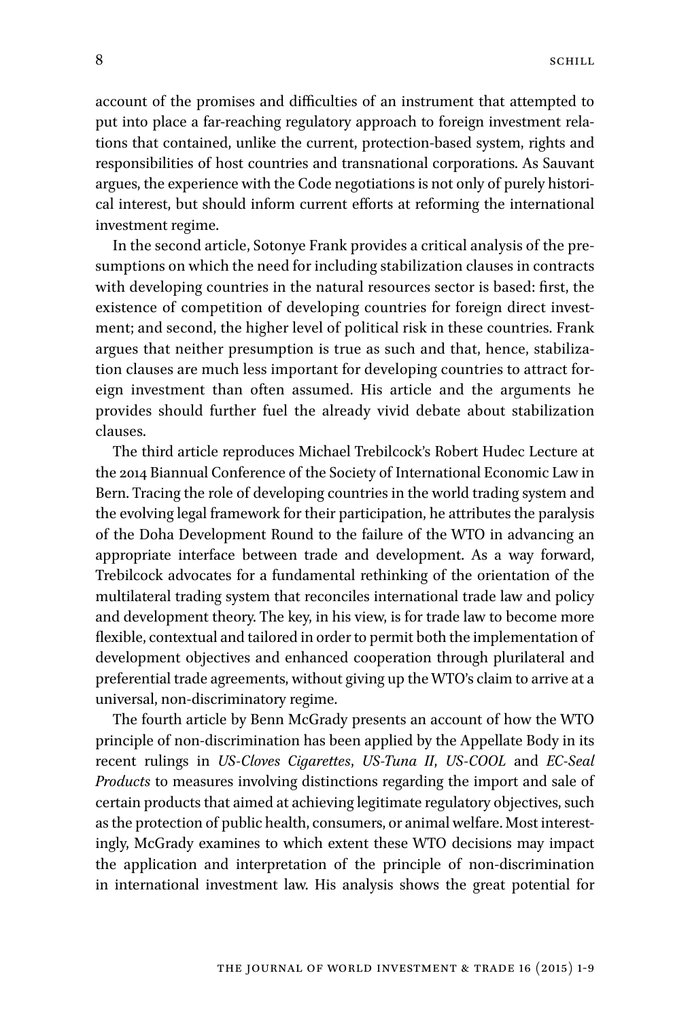account of the promises and difficulties of an instrument that attempted to put into place a far-reaching regulatory approach to foreign investment relations that contained, unlike the current, protection-based system, rights and responsibilities of host countries and transnational corporations. As Sauvant argues, the experience with the Code negotiations is not only of purely historical interest, but should inform current efforts at reforming the international investment regime.

In the second article, Sotonye Frank provides a critical analysis of the presumptions on which the need for including stabilization clauses in contracts with developing countries in the natural resources sector is based: first, the existence of competition of developing countries for foreign direct investment; and second, the higher level of political risk in these countries. Frank argues that neither presumption is true as such and that, hence, stabilization clauses are much less important for developing countries to attract foreign investment than often assumed. His article and the arguments he provides should further fuel the already vivid debate about stabilization clauses.

The third article reproduces Michael Trebilcock's Robert Hudec Lecture at the 2014 Biannual Conference of the Society of International Economic Law in Bern. Tracing the role of developing countries in the world trading system and the evolving legal framework for their participation, he attributes the paralysis of the Doha Development Round to the failure of the WTO in advancing an appropriate interface between trade and development. As a way forward, Trebilcock advocates for a fundamental rethinking of the orientation of the multilateral trading system that reconciles international trade law and policy and development theory. The key, in his view, is for trade law to become more flexible, contextual and tailored in order to permit both the implementation of development objectives and enhanced cooperation through plurilateral and preferential trade agreements, without giving up the WTO's claim to arrive at a universal, non-discriminatory regime.

The fourth article by Benn McGrady presents an account of how the WTO principle of non-discrimination has been applied by the Appellate Body in its recent rulings in *US-Cloves Cigarettes*, *US-Tuna II*, *US-COOL* and *EC-Seal Products* to measures involving distinctions regarding the import and sale of certain products that aimed at achieving legitimate regulatory objectives, such as the protection of public health, consumers, or animal welfare. Most interestingly, McGrady examines to which extent these WTO decisions may impact the application and interpretation of the principle of non-discrimination in international investment law. His analysis shows the great potential for